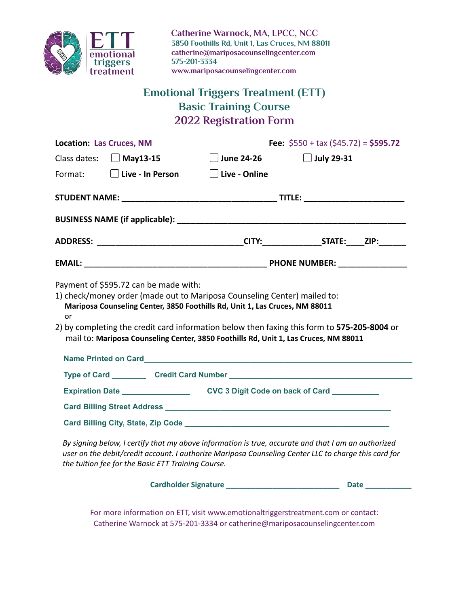

**Catherine Warnock, MA, LPCC, NCC 3850 Foothills Rd, Unit 1, Las Cruces, NM 88011 catherine@mariposacounselingcenter.com 575-201-3334 www.mariposacounselingcenter.com**

# **Emotional Triggers Treatment (ETT) Basic Training Course 2022 Registration Form**

| <b>Location: Las Cruces, NM</b>                                                                                                                                                                                                                                          | Fee: $$550 + tax ($45.72) = $595.72$ |                   |  |
|--------------------------------------------------------------------------------------------------------------------------------------------------------------------------------------------------------------------------------------------------------------------------|--------------------------------------|-------------------|--|
| Class dates: $\Box$ May13-15                                                                                                                                                                                                                                             | <b>June 24-26</b>                    | $\Box$ July 29-31 |  |
| Format: <b>Live - In Person</b>                                                                                                                                                                                                                                          | $\Box$ Live - Online                 |                   |  |
|                                                                                                                                                                                                                                                                          |                                      |                   |  |
|                                                                                                                                                                                                                                                                          |                                      |                   |  |
|                                                                                                                                                                                                                                                                          |                                      |                   |  |
|                                                                                                                                                                                                                                                                          |                                      |                   |  |
| Mariposa Counseling Center, 3850 Foothills Rd, Unit 1, Las Cruces, NM 88011<br>or<br>2) by completing the credit card information below then faxing this form to 575-205-8004 or<br>mail to: Mariposa Counseling Center, 3850 Foothills Rd, Unit 1, Las Cruces, NM 88011 |                                      |                   |  |
|                                                                                                                                                                                                                                                                          |                                      |                   |  |
| Type of Card _____________ Credit Card Number ___________________________________                                                                                                                                                                                        |                                      |                   |  |
| Expiration Date _________________________CVC 3 Digit Code on back of Card ___________                                                                                                                                                                                    |                                      |                   |  |
|                                                                                                                                                                                                                                                                          |                                      |                   |  |
|                                                                                                                                                                                                                                                                          |                                      |                   |  |
| Ducianing holow Looptifuthat mucahowa information is true, geoverno and that Lam an quthorized                                                                                                                                                                           |                                      |                   |  |

By signing below, I certify that my above information is true, accurate and that I am an authorized *user on the debit/credit account. I authorize Mariposa Counseling Center LLC to charge this card for the tuition fee for the Basic ETT Training Course.*

**Cardholder Signature \_\_\_\_\_\_\_\_\_\_\_\_\_\_\_\_\_\_\_\_\_\_\_\_\_\_\_ Date \_\_\_\_\_\_\_\_\_\_\_**

For more information on ETT, visit [www.emotionaltriggerstreatment.com](http://www.emotionaltriggerstreatment.com/) or contact: Catherine Warnock at 575-201-3334 or catherine@mariposacounselingcenter.com